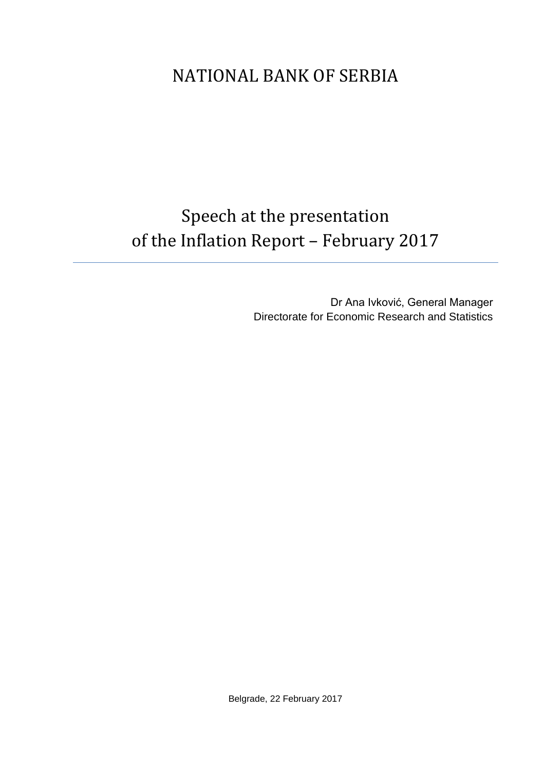## NATIONAL BANK OF SERBIA

# Speech at the presentation of the Inflation Report – February 2017

Dr Ana Ivković, General Manager Directorate for Economic Research and Statistics

Belgrade, 22 February 2017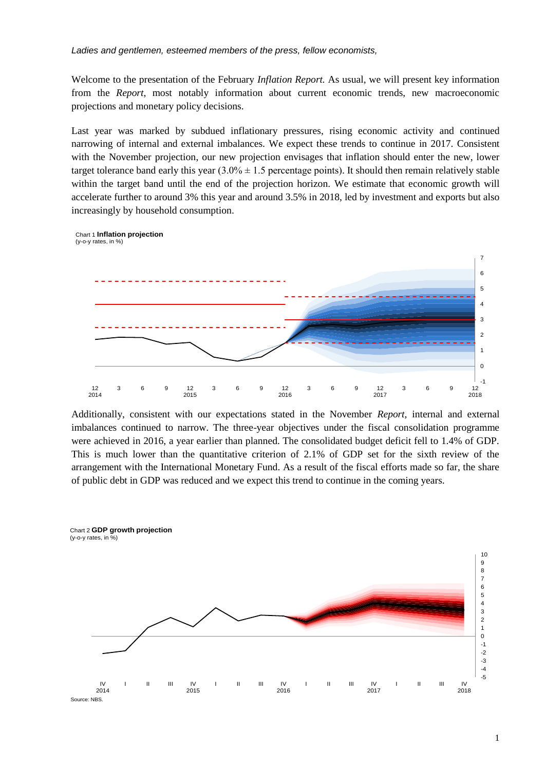Welcome to the presentation of the February *Inflation Report.* As usual, we will present key information from the *Report*, most notably information about current economic trends, new macroeconomic projections and monetary policy decisions.

Last year was marked by subdued inflationary pressures, rising economic activity and continued narrowing of internal and external imbalances. We expect these trends to continue in 2017. Consistent with the November projection, our new projection envisages that inflation should enter the new, lower target tolerance band early this year  $(3.0\% \pm 1.5$  percentage points). It should then remain relatively stable within the target band until the end of the projection horizon. We estimate that economic growth will accelerate further to around 3% this year and around 3.5% in 2018, led by investment and exports but also increasingly by household consumption.



Additionally, consistent with our expectations stated in the November *Report,* internal and external imbalances continued to narrow. The three-year objectives under the fiscal consolidation programme were achieved in 2016, a year earlier than planned. The consolidated budget deficit fell to 1.4% of GDP. This is much lower than the quantitative criterion of 2.1% of GDP set for the sixth review of the arrangement with the International Monetary Fund. As a result of the fiscal efforts made so far, the share of public debt in GDP was reduced and we expect this trend to continue in the coming years.



Source: NBS.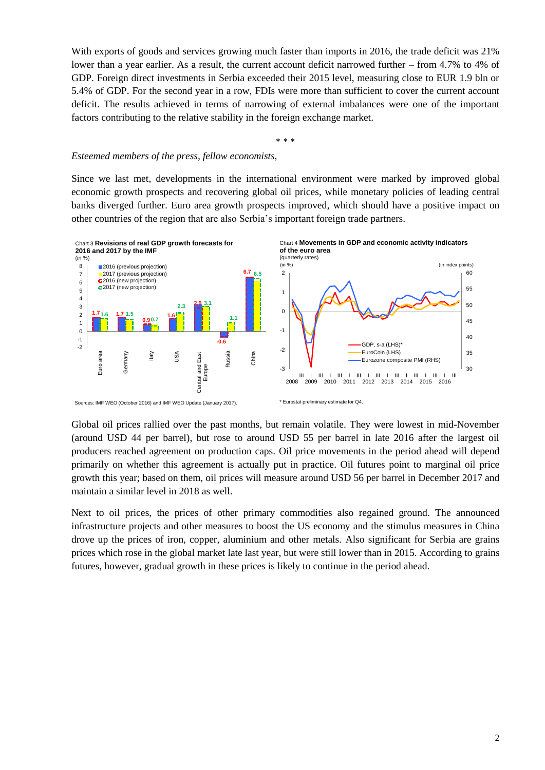With exports of goods and services growing much faster than imports in 2016, the trade deficit was 21% lower than a year earlier. As a result, the current account deficit narrowed further – from 4.7% to 4% of GDP. Foreign direct investments in Serbia exceeded their 2015 level, measuring close to EUR 1.9 bln or 5.4% of GDP. For the second year in a row, FDIs were more than sufficient to cover the current account deficit. The results achieved in terms of narrowing of external imbalances were one of the important factors contributing to the relative stability in the foreign exchange market.

\* \* \*

#### *Esteemed members of the press, fellow economists,*

Since we last met, developments in the international environment were marked by improved global economic growth prospects and recovering global oil prices, while monetary policies of leading central banks diverged further. Euro area growth prospects improved, which should have a positive impact on other countries of the region that are also Serbia's important foreign trade partners.



Global oil prices rallied over the past months, but remain volatile. They were lowest in mid-November (around USD 44 per barrel), but rose to around USD 55 per barrel in late 2016 after the largest oil producers reached agreement on production caps. Oil price movements in the period ahead will depend primarily on whether this agreement is actually put in practice. Oil futures point to marginal oil price growth this year; based on them, oil prices will measure around USD 56 per barrel in December 2017 and maintain a similar level in 2018 as well.

Next to oil prices, the prices of other primary commodities also regained ground. The announced infrastructure projects and other measures to boost the US economy and the stimulus measures in China drove up the prices of iron, copper, aluminium and other metals. Also significant for Serbia are grains prices which rose in the global market late last year, but were still lower than in 2015. According to grains futures, however, gradual growth in these prices is likely to continue in the period ahead.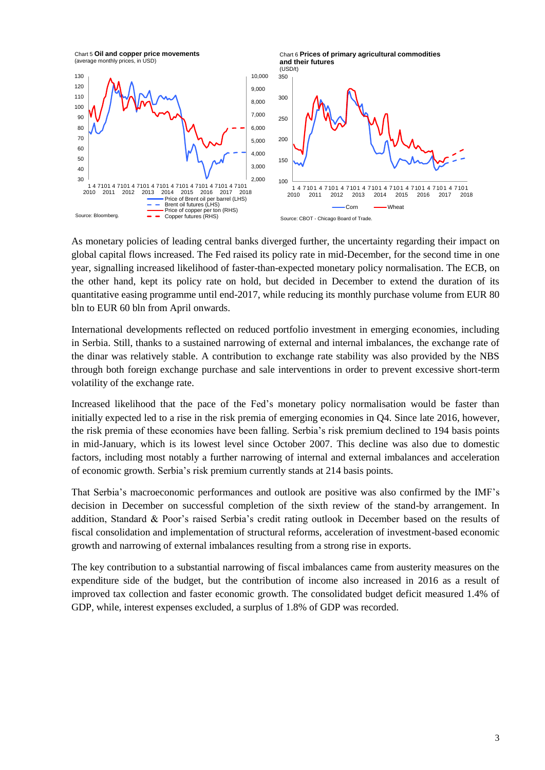

As monetary policies of leading central banks diverged further, the uncertainty regarding their impact on global capital flows increased. The Fed raised its policy rate in mid-December, for the second time in one year, signalling increased likelihood of faster-than-expected monetary policy normalisation. The ECB, on the other hand, kept its policy rate on hold, but decided in December to extend the duration of its quantitative easing programme until end-2017, while reducing its monthly purchase volume from EUR 80 bln to EUR 60 bln from April onwards.

International developments reflected on reduced portfolio investment in emerging economies, including in Serbia. Still, thanks to a sustained narrowing of external and internal imbalances, the exchange rate of the dinar was relatively stable. A contribution to exchange rate stability was also provided by the NBS through both foreign exchange purchase and sale interventions in order to prevent excessive short-term volatility of the exchange rate.

Increased likelihood that the pace of the Fed's monetary policy normalisation would be faster than initially expected led to a rise in the risk premia of emerging economies in Q4. Since late 2016, however, the risk premia of these economies have been falling. Serbia's risk premium declined to 194 basis points in mid-January, which is its lowest level since October 2007. This decline was also due to domestic factors, including most notably a further narrowing of internal and external imbalances and acceleration of economic growth. Serbia's risk premium currently stands at 214 basis points.

That Serbia's macroeconomic performances and outlook are positive was also confirmed by the IMF's decision in December on successful completion of the sixth review of the stand-by arrangement. In addition, Standard & Poor's raised Serbia's credit rating outlook in December based on the results of fiscal consolidation and implementation of structural reforms, acceleration of investment-based economic growth and narrowing of external imbalances resulting from a strong rise in exports.

The key contribution to a substantial narrowing of fiscal imbalances came from austerity measures on the expenditure side of the budget, but the contribution of income also increased in 2016 as a result of improved tax collection and faster economic growth. The consolidated budget deficit measured 1.4% of GDP, while, interest expenses excluded, a surplus of 1.8% of GDP was recorded.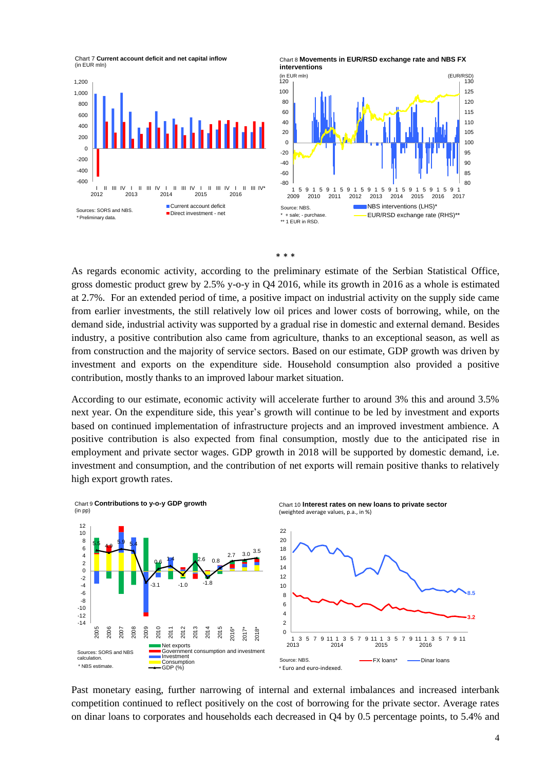





As regards economic activity, according to the preliminary estimate of the Serbian Statistical Office, gross domestic product grew by 2.5% y-o-y in Q4 2016, while its growth in 2016 as a whole is estimated at 2.7%. For an extended period of time, a positive impact on industrial activity on the supply side came from earlier investments, the still relatively low oil prices and lower costs of borrowing, while, on the demand side, industrial activity was supported by a gradual rise in domestic and external demand. Besides industry, a positive contribution also came from agriculture, thanks to an exceptional season, as well as from construction and the majority of service sectors. Based on our estimate, GDP growth was driven by investment and exports on the expenditure side. Household consumption also provided a positive contribution, mostly thanks to an improved labour market situation.

According to our estimate, economic activity will accelerate further to around 3% this and around 3.5% next year. On the expenditure side, this year's growth will continue to be led by investment and exports based on continued implementation of infrastructure projects and an improved investment ambience. A positive contribution is also expected from final consumption, mostly due to the anticipated rise in employment and private sector wages. GDP growth in 2018 will be supported by domestic demand, i.e. investment and consumption, and the contribution of net exports will remain positive thanks to relatively high export growth rates.



Past monetary easing, further narrowing of internal and external imbalances and increased interbank competition continued to reflect positively on the cost of borrowing for the private sector. Average rates on dinar loans to corporates and households each decreased in Q4 by 0.5 percentage points, to 5.4% and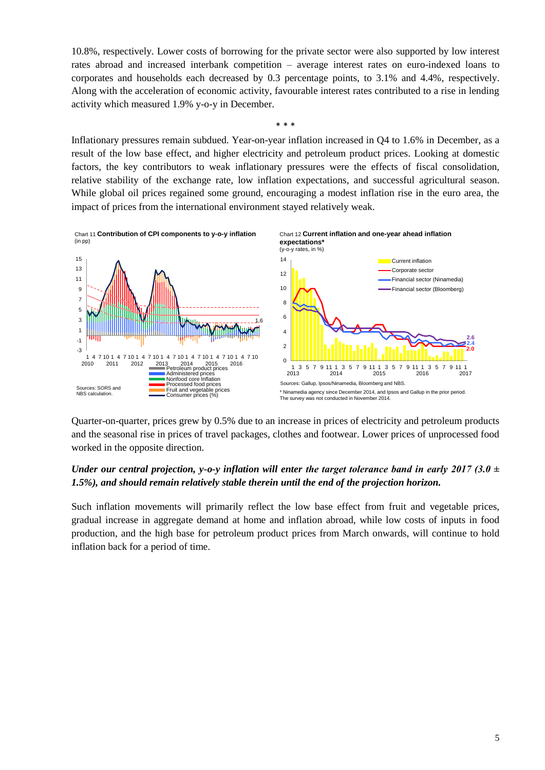10.8%, respectively. Lower costs of borrowing for the private sector were also supported by low interest rates abroad and increased interbank competition – average interest rates on euro-indexed loans to corporates and households each decreased by 0.3 percentage points, to 3.1% and 4.4%, respectively. Along with the acceleration of economic activity, favourable interest rates contributed to a rise in lending activity which measured 1.9% y-o-y in December.

\* \* \*

Inflationary pressures remain subdued. Year-on-year inflation increased in Q4 to 1.6% in December, as a result of the low base effect, and higher electricity and petroleum product prices. Looking at domestic factors, the key contributors to weak inflationary pressures were the effects of fiscal consolidation, relative stability of the exchange rate, low inflation expectations, and successful agricultural season. While global oil prices regained some ground, encouraging a modest inflation rise in the euro area, the impact of prices from the international environment stayed relatively weak.



Quarter-on-quarter, prices grew by 0.5% due to an increase in prices of electricity and petroleum products and the seasonal rise in prices of travel packages, clothes and footwear. Lower prices of unprocessed food worked in the opposite direction.

### *Under our central projection, y-o-y inflation will enter the target tolerance band in early 2017 (3.0*  $\pm$ *1.5%), and should remain relatively stable therein until the end of the projection horizon.*

Such inflation movements will primarily reflect the low base effect from fruit and vegetable prices, gradual increase in aggregate demand at home and inflation abroad, while low costs of inputs in food production, and the high base for petroleum product prices from March onwards, will continue to hold inflation back for a period of time.